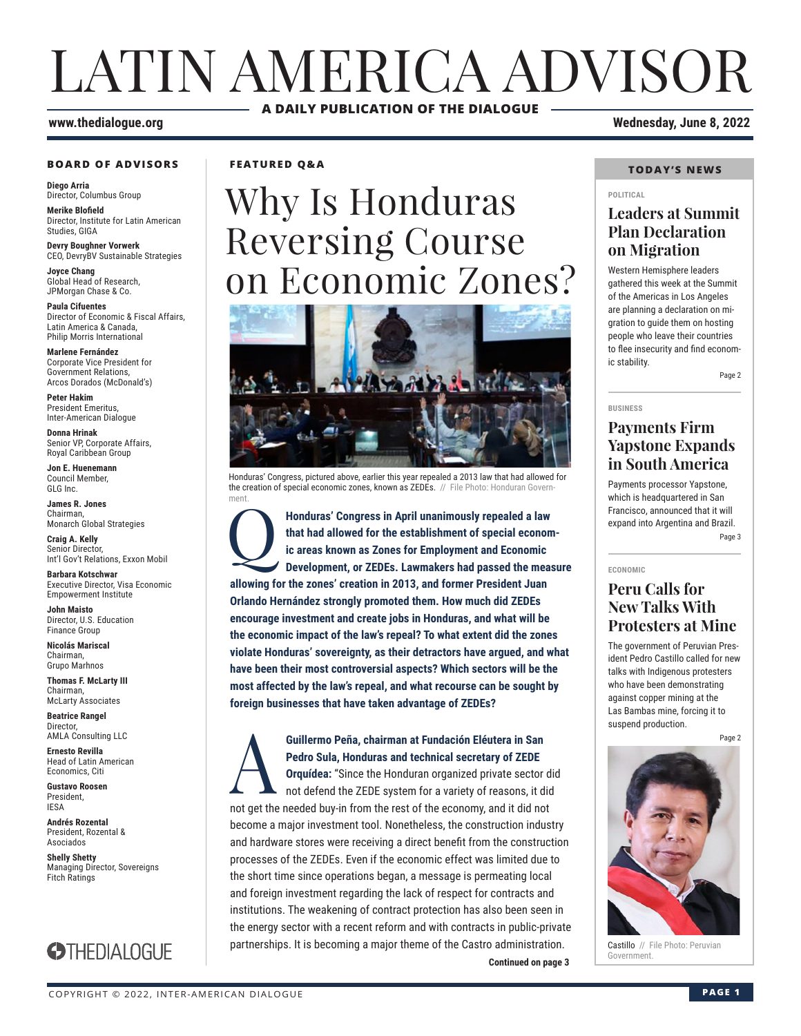## LATIN AMERICA ADVISOR **A DAILY PUBLICATION OF THE DIALOGUE**

### **www.thedialogue.org Wednesday, June 8, 2022**

#### **BOARD OF ADVISORS**

**Diego Arria** Director, Columbus Group **Merike Blofield**

Director, Institute for Latin American Studies, GIGA

**Devry Boughner Vorwerk** CEO, DevryBV Sustainable Strategies

**Joyce Chang** Global Head of Research, JPMorgan Chase & Co.

**Paula Cifuentes** Director of Economic & Fiscal Affairs, Latin America & Canada, Philip Morris International

**Marlene Fernández** Corporate Vice President for Government Relations, Arcos Dorados (McDonald's)

**Peter Hakim** President Emeritus, Inter-American Dialogue

**Donna Hrinak** Senior VP, Corporate Affairs, Royal Caribbean Group

**Jon E. Huenemann** Council Member, GLG Inc.

**James R. Jones** Chairman, Monarch Global Strategies

**Craig A. Kelly** Senior Director, Int'l Gov't Relations, Exxon Mobil

**Barbara Kotschwar** Executive Director, Visa Economic Empowerment Institute

**John Maisto** Director, U.S. Education Finance Group

**Nicolás Mariscal** Chairman, Grupo Marhnos

**Thomas F. McLarty III** Chairman, McLarty Associates

**Beatrice Rangel**  Director, AMLA Consulting LLC

**Ernesto Revilla**  Head of Latin American

Economics, Citi **Gustavo Roosen** President, IESA

**Andrés Rozental**  President, Rozental & Asociados

**Shelly Shetty** Managing Director, Sovereigns Fitch Ratings



**FEATURED Q&A**

# Why Is Honduras Reversing Course on Economic Zones?



Honduras' Congress, pictured above, earlier this year repealed a 2013 law that had allowed for the creation of special economic zones, known as ZEDEs. // File Photo: Honduran Government

Honduras' Congress in April unanimously repealed a law that had allowed for the establishment of special economic ic areas known as Zones for Employment and Economic Development, or ZEDEs. Lawmakers had passed the measure **that had allowed for the establishment of special economic areas known as Zones for Employment and Economic Development, or ZEDEs. Lawmakers had passed the measure allowing for the zones' creation in 2013, and former President Juan Orlando Hernández strongly promoted them. How much did ZEDEs encourage investment and create jobs in Honduras, and what will be the economic impact of the law's repeal? To what extent did the zones violate Honduras' sovereignty, as their detractors have argued, and what have been their most controversial aspects? Which sectors will be the most affected by the law's repeal, and what recourse can be sought by foreign businesses that have taken advantage of ZEDEs?**

**Continued on page 3 Continued on page 3 Guillermo Peña, chairman at Fundación Eléutera in San Pedro Sula, Honduras and technical secretary of ZEDE Orquídea:** "Since the Honduran organized private sector not defend the ZEDE system for a variety of reasons, it du **Pedro Sula, Honduras and technical secretary of ZEDE Orquídea:** "Since the Honduran organized private sector did not defend the ZEDE system for a variety of reasons, it did not get the needed buy-in from the rest of the economy, and it did not become a major investment tool. Nonetheless, the construction industry and hardware stores were receiving a direct benefit from the construction processes of the ZEDEs. Even if the economic effect was limited due to the short time since operations began, a message is permeating local and foreign investment regarding the lack of respect for contracts and institutions. The weakening of contract protection has also been seen in the energy sector with a recent reform and with contracts in public-private partnerships. It is becoming a major theme of the Castro administration.

### **TODAY'S NEWS**

#### **POLITICAL**

### **Leaders at Summit Plan Declaration on Migration**

Western Hemisphere leaders gathered this week at the Summit of the Americas in Los Angeles are planning a declaration on migration to guide them on hosting people who leave their countries to flee insecurity and find economic stability.

Page 2

### **Payments Firm Yapstone Expands in South America**

Payments processor Yapstone, which is headquartered in San Francisco, announced that it will expand into Argentina and Brazil. Page 3

**ECONOMIC**

**BUSINESS**

### **Peru Calls for New Talks With Protesters at Mine**

The government of Peruvian President Pedro Castillo called for new talks with Indigenous protesters who have been demonstrating against copper mining at the Las Bambas mine, forcing it to suspend production.

Page 2



Castillo // File Photo: Peruvian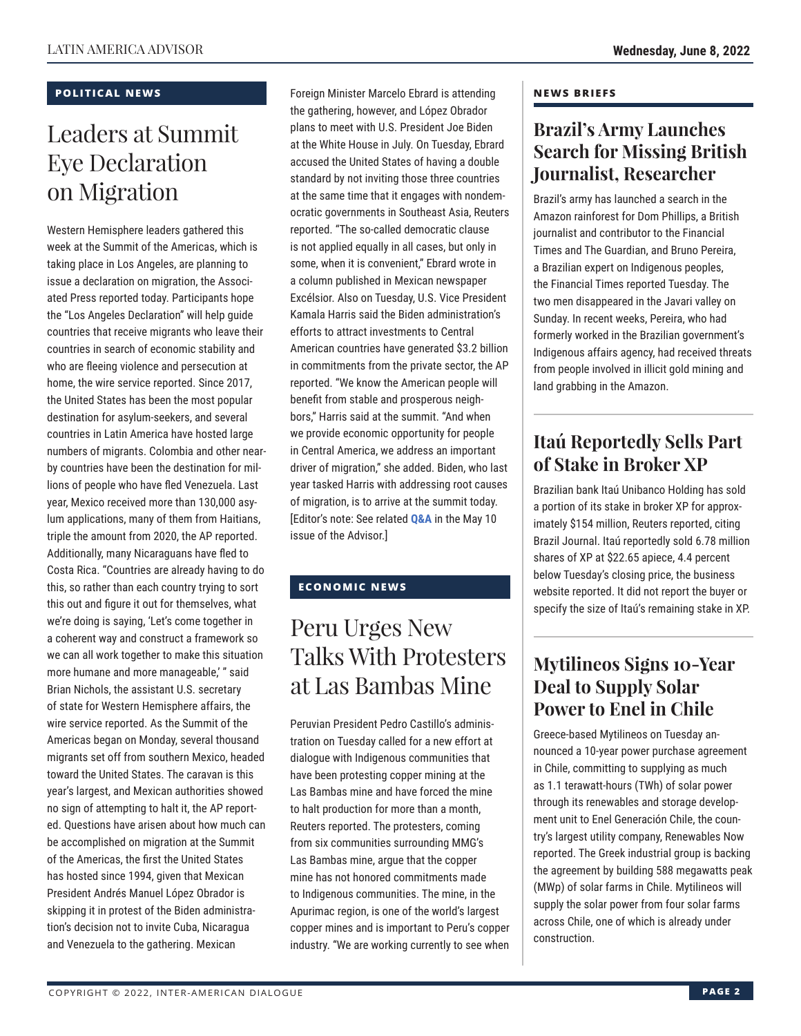### **POLITICAL NEWS**

## Leaders at Summit Eye Declaration on Migration

Western Hemisphere leaders gathered this week at the Summit of the Americas, which is taking place in Los Angeles, are planning to issue a declaration on migration, the Associated Press reported today. Participants hope the "Los Angeles Declaration" will help guide countries that receive migrants who leave their countries in search of economic stability and who are fleeing violence and persecution at home, the wire service reported. Since 2017, the United States has been the most popular destination for asylum-seekers, and several countries in Latin America have hosted large numbers of migrants. Colombia and other nearby countries have been the destination for millions of people who have fled Venezuela. Last year, Mexico received more than 130,000 asylum applications, many of them from Haitians, triple the amount from 2020, the AP reported. Additionally, many Nicaraguans have fled to Costa Rica. "Countries are already having to do this, so rather than each country trying to sort this out and figure it out for themselves, what we're doing is saying, 'Let's come together in a coherent way and construct a framework so we can all work together to make this situation more humane and more manageable,' " said Brian Nichols, the assistant U.S. secretary of state for Western Hemisphere affairs, the wire service reported. As the Summit of the Americas began on Monday, several thousand migrants set off from southern Mexico, headed toward the United States. The caravan is this year's largest, and Mexican authorities showed no sign of attempting to halt it, the AP reported. Questions have arisen about how much can be accomplished on migration at the Summit of the Americas, the first the United States has hosted since 1994, given that Mexican President Andrés Manuel López Obrador is skipping it in protest of the Biden administration's decision not to invite Cuba, Nicaragua and Venezuela to the gathering. Mexican

Foreign Minister Marcelo Ebrard is attending the gathering, however, and López Obrador plans to meet with U.S. President Joe Biden at the White House in July. On Tuesday, Ebrard accused the United States of having a double standard by not inviting those three countries at the same time that it engages with nondemocratic governments in Southeast Asia, Reuters reported. "The so-called democratic clause is not applied equally in all cases, but only in some, when it is convenient," Ebrard wrote in a column published in Mexican newspaper Excélsior. Also on Tuesday, U.S. Vice President Kamala Harris said the Biden administration's efforts to attract investments to Central American countries have generated \$3.2 billion in commitments from the private sector, the AP reported. "We know the American people will benefit from stable and prosperous neighbors," Harris said at the summit. "And when we provide economic opportunity for people in Central America, we address an important driver of migration," she added. Biden, who last year tasked Harris with addressing root causes of migration, is to arrive at the summit today. [Editor's note: See related **[Q&A](https://www.thedialogue.org/wp-content/uploads/2022/05/LAA220510.pdf)** in the May 10 issue of the Advisor.]

### **ECONOMIC NEWS**

### Peru Urges New Talks With Protesters at Las Bambas Mine

Peruvian President Pedro Castillo's administration on Tuesday called for a new effort at dialogue with Indigenous communities that have been protesting copper mining at the Las Bambas mine and have forced the mine to halt production for more than a month, Reuters reported. The protesters, coming from six communities surrounding MMG's Las Bambas mine, argue that the copper mine has not honored commitments made to Indigenous communities. The mine, in the Apurimac region, is one of the world's largest copper mines and is important to Peru's copper industry. "We are working currently to see when

#### **NEWS BRIEFS**

### **Brazil's Army Launches Search for Missing British Journalist, Researcher**

Brazil's army has launched a search in the Amazon rainforest for Dom Phillips, a British journalist and contributor to the Financial Times and The Guardian, and Bruno Pereira, a Brazilian expert on Indigenous peoples, the Financial Times reported Tuesday. The two men disappeared in the Javari valley on Sunday. In recent weeks, Pereira, who had formerly worked in the Brazilian government's Indigenous affairs agency, had received threats from people involved in illicit gold mining and land grabbing in the Amazon.

### **Itaú Reportedly Sells Part of Stake in Broker XP**

Brazilian bank Itaú Unibanco Holding has sold a portion of its stake in broker XP for approximately \$154 million, Reuters reported, citing Brazil Journal. Itaú reportedly sold 6.78 million shares of XP at \$22.65 apiece, 4.4 percent below Tuesday's closing price, the business website reported. It did not report the buyer or specify the size of Itaú's remaining stake in XP.

### **Mytilineos Signs 10-Year Deal to Supply Solar Power to Enel in Chile**

Greece-based Mytilineos on Tuesday announced a 10-year power purchase agreement in Chile, committing to supplying as much as 1.1 terawatt-hours (TWh) of solar power through its renewables and storage development unit to Enel Generación Chile, the country's largest utility company, Renewables Now reported. The Greek industrial group is backing the agreement by building 588 megawatts peak (MWp) of solar farms in Chile. Mytilineos will supply the solar power from four solar farms across Chile, one of which is already under construction.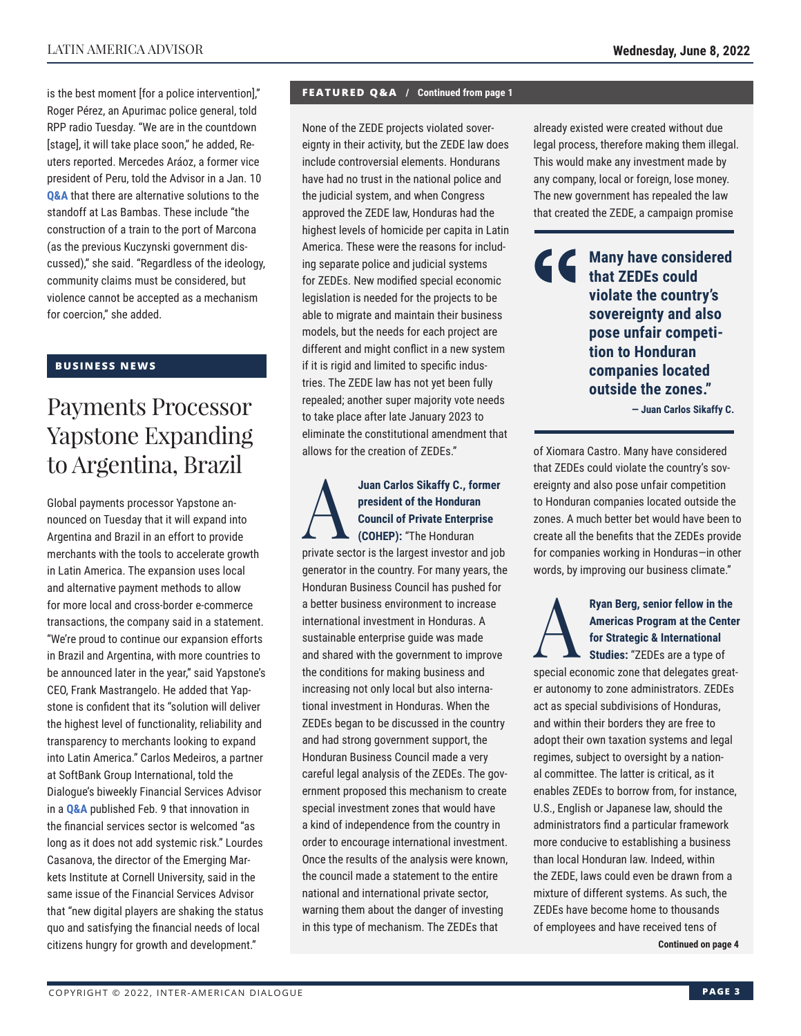is the best moment [for a police intervention]," Roger Pérez, an Apurimac police general, told RPP radio Tuesday. "We are in the countdown [stage], it will take place soon," he added, Reuters reported. Mercedes Aráoz, a former vice president of Peru, told the Advisor in a Jan. 10 **[Q&A](https://www.thedialogue.org/wp-content/uploads/2022/01/LAA220110.pdf)** that there are alternative solutions to the standoff at Las Bambas. These include "the construction of a train to the port of Marcona (as the previous Kuczynski government discussed)," she said. "Regardless of the ideology, community claims must be considered, but violence cannot be accepted as a mechanism for coercion," she added.

### **BUSINESS NEWS**

### Payments Processor Yapstone Expanding to Argentina, Brazil

Global payments processor Yapstone announced on Tuesday that it will expand into Argentina and Brazil in an effort to provide merchants with the tools to accelerate growth in Latin America. The expansion uses local and alternative payment methods to allow for more local and cross-border e-commerce transactions, the company said in a statement. "We're proud to continue our expansion efforts in Brazil and Argentina, with more countries to be announced later in the year," said Yapstone's CEO, Frank Mastrangelo. He added that Yapstone is confident that its "solution will deliver the highest level of functionality, reliability and transparency to merchants looking to expand into Latin America." Carlos Medeiros, a partner at SoftBank Group International, told the Dialogue's biweekly Financial Services Advisor in a **Q&A** published Feb. 9 that innovation in the financial services sector is welcomed "as long as it does not add systemic risk." Lourdes Casanova, the director of the Emerging Markets Institute at Cornell University, said in the same issue of the Financial Services Advisor that "new digital players are shaking the status quo and satisfying the financial needs of local citizens hungry for growth and development."

#### **FEATURED Q&A / Continued from page 1**

None of the ZEDE projects violated sovereignty in their activity, but the ZEDE law does include controversial elements. Hondurans have had no trust in the national police and the judicial system, and when Congress approved the ZEDE law, Honduras had the highest levels of homicide per capita in Latin America. These were the reasons for including separate police and judicial systems for ZEDEs. New modified special economic legislation is needed for the projects to be able to migrate and maintain their business models, but the needs for each project are different and might conflict in a new system if it is rigid and limited to specific industries. The ZEDE law has not yet been fully repealed; another super majority vote needs to take place after late January 2023 to eliminate the constitutional amendment that allows for the creation of ZEDEs."

Juan Carlos Sikaffy C., former<br>
president of the Honduran<br>
Council of Private Enterprise<br>
(COHEP): "The Honduran<br>
private gester is the lergest investor and isk **president of the Honduran Council of Private Enterprise (COHEP):** "The Honduran private sector is the largest investor and job generator in the country. For many years, the Honduran Business Council has pushed for a better business environment to increase international investment in Honduras. A sustainable enterprise guide was made and shared with the government to improve the conditions for making business and increasing not only local but also international investment in Honduras. When the ZEDEs began to be discussed in the country and had strong government support, the Honduran Business Council made a very careful legal analysis of the ZEDEs. The government proposed this mechanism to create special investment zones that would have a kind of independence from the country in order to encourage international investment. Once the results of the analysis were known, the council made a statement to the entire national and international private sector, warning them about the danger of investing in this type of mechanism. The ZEDEs that

already existed were created without due legal process, therefore making them illegal. This would make any investment made by any company, local or foreign, lose money. The new government has repealed the law that created the ZEDE, a campaign promise

> **Many have considered that ZEDEs could violate the country's sovereignty and also pose unfair competition to Honduran companies located outside the zones."**

> > **— Juan Carlos Sikaffy C.**

of Xiomara Castro. Many have considered that ZEDEs could violate the country's sovereignty and also pose unfair competition to Honduran companies located outside the zones. A much better bet would have been to create all the benefits that the ZEDEs provide for companies working in Honduras—in other words, by improving our business climate."

Ryan Berg, senior fellow in the<br>Americas Program at the Cente<br>for Strategic & International<br>Studies: "ZEDEs are a type of **Americas Program at the Center for Strategic & International** 

**Studies:** "ZEDEs are a type of special economic zone that delegates greater autonomy to zone administrators. ZEDEs act as special subdivisions of Honduras, and within their borders they are free to adopt their own taxation systems and legal regimes, subject to oversight by a national committee. The latter is critical, as it enables ZEDEs to borrow from, for instance, U.S., English or Japanese law, should the administrators find a particular framework more conducive to establishing a business than local Honduran law. Indeed, within the ZEDE, laws could even be drawn from a mixture of different systems. As such, the ZEDEs have become home to thousands of employees and have received tens of

**Continued on page 4**